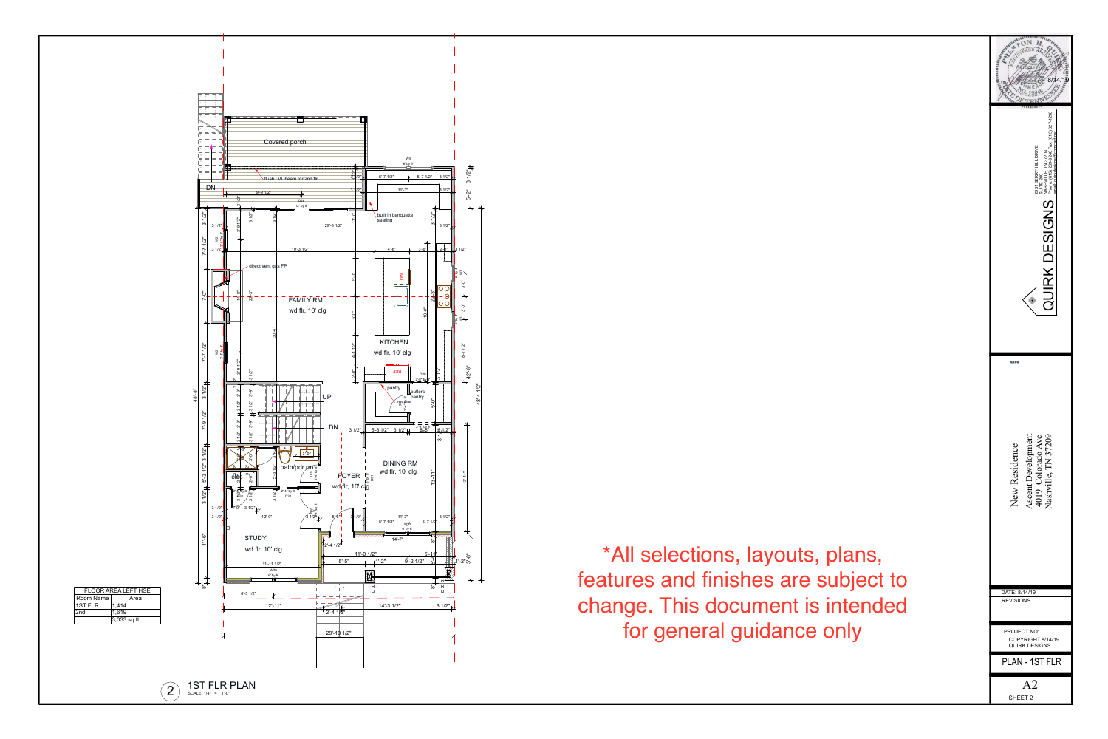| 10<br>4<br>8/1<br>2931 BERRY HILL DRIVE<br>SUITE 200<br>NASHVILLE, TN 37204<br>Phone: (615) 269-9248 Fax: (615) 627-1298<br>email: quirkdesigns@comcast.net<br>S<br>N<br>C<br>$\mathcal{C}$ |
|---------------------------------------------------------------------------------------------------------------------------------------------------------------------------------------------|
| ####                                                                                                                                                                                        |
| <b>Ascent Development</b><br>Nashville, TN 37209<br>4019 Colorado Ave<br>New Residence                                                                                                      |
| DATE: 8/14/19<br><b>REVISIONS</b>                                                                                                                                                           |
| <b>PROJECT NO:</b>                                                                                                                                                                          |
| COPYRIGHT 8/14/19<br><b>QUIRK DESIGNS</b>                                                                                                                                                   |
| PLAN - 1ST FLR                                                                                                                                                                              |
| A <sub>2</sub><br><b>SHEET 2</b>                                                                                                                                                            |



\*All selections, layouts, plans, features and finishes are subject to change. This document is intended for general guidance only